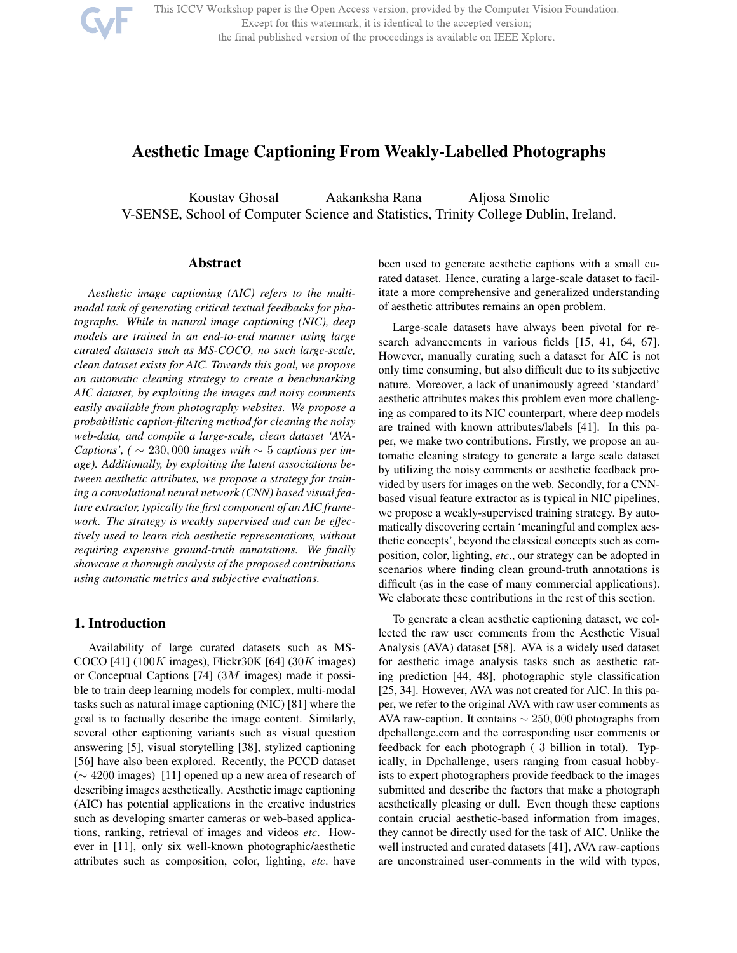

This ICCV Workshop paper is the Open Access version, provided by the Computer Vision Foundation. Except for this watermark, it is identical to the accepted version; the final published version of the proceedings is available on IEEE Xplore.

# Aesthetic Image Captioning From Weakly-Labelled Photographs

Koustav Ghosal Aakanksha Rana Aljosa Smolic V-SENSE, School of Computer Science and Statistics, Trinity College Dublin, Ireland.

# Abstract

*Aesthetic image captioning (AIC) refers to the multimodal task of generating critical textual feedbacks for photographs. While in natural image captioning (NIC), deep models are trained in an end-to-end manner using large curated datasets such as MS-COCO, no such large-scale, clean dataset exists for AIC. Towards this goal, we propose an automatic cleaning strategy to create a benchmarking AIC dataset, by exploiting the images and noisy comments easily available from photography websites. We propose a probabilistic caption-filtering method for cleaning the noisy web-data, and compile a large-scale, clean dataset 'AVA-Captions',* (  $\sim$  230,000 *images with*  $\sim$  5 *captions per image). Additionally, by exploiting the latent associations between aesthetic attributes, we propose a strategy for training a convolutional neural network (CNN) based visual feature extractor, typically the first component of an AIC framework. The strategy is weakly supervised and can be effectively used to learn rich aesthetic representations, without requiring expensive ground-truth annotations. We finally showcase a thorough analysis of the proposed contributions using automatic metrics and subjective evaluations.*

## 1. Introduction

Availability of large curated datasets such as MS-COCO [41]  $(100K$  images), Flickr30K [64]  $(30K$  images) or Conceptual Captions [74] (3M images) made it possible to train deep learning models for complex, multi-modal tasks such as natural image captioning (NIC) [81] where the goal is to factually describe the image content. Similarly, several other captioning variants such as visual question answering [5], visual storytelling [38], stylized captioning [56] have also been explored. Recently, the PCCD dataset (∼ 4200 images) [11] opened up a new area of research of describing images aesthetically. Aesthetic image captioning (AIC) has potential applications in the creative industries such as developing smarter cameras or web-based applications, ranking, retrieval of images and videos *etc*. However in [11], only six well-known photographic/aesthetic attributes such as composition, color, lighting, *etc*. have been used to generate aesthetic captions with a small curated dataset. Hence, curating a large-scale dataset to facilitate a more comprehensive and generalized understanding of aesthetic attributes remains an open problem.

Large-scale datasets have always been pivotal for research advancements in various fields [15, 41, 64, 67]. However, manually curating such a dataset for AIC is not only time consuming, but also difficult due to its subjective nature. Moreover, a lack of unanimously agreed 'standard' aesthetic attributes makes this problem even more challenging as compared to its NIC counterpart, where deep models are trained with known attributes/labels [41]. In this paper, we make two contributions. Firstly, we propose an automatic cleaning strategy to generate a large scale dataset by utilizing the noisy comments or aesthetic feedback provided by users for images on the web. Secondly, for a CNNbased visual feature extractor as is typical in NIC pipelines, we propose a weakly-supervised training strategy. By automatically discovering certain 'meaningful and complex aesthetic concepts', beyond the classical concepts such as composition, color, lighting, *etc*., our strategy can be adopted in scenarios where finding clean ground-truth annotations is difficult (as in the case of many commercial applications). We elaborate these contributions in the rest of this section.

To generate a clean aesthetic captioning dataset, we collected the raw user comments from the Aesthetic Visual Analysis (AVA) dataset [58]. AVA is a widely used dataset for aesthetic image analysis tasks such as aesthetic rating prediction [44, 48], photographic style classification [25, 34]. However, AVA was not created for AIC. In this paper, we refer to the original AVA with raw user comments as AVA raw-caption. It contains ∼ 250, 000 photographs from dpchallenge.com and the corresponding user comments or feedback for each photograph ( 3 billion in total). Typically, in Dpchallenge, users ranging from casual hobbyists to expert photographers provide feedback to the images submitted and describe the factors that make a photograph aesthetically pleasing or dull. Even though these captions contain crucial aesthetic-based information from images, they cannot be directly used for the task of AIC. Unlike the well instructed and curated datasets [41], AVA raw-captions are unconstrained user-comments in the wild with typos,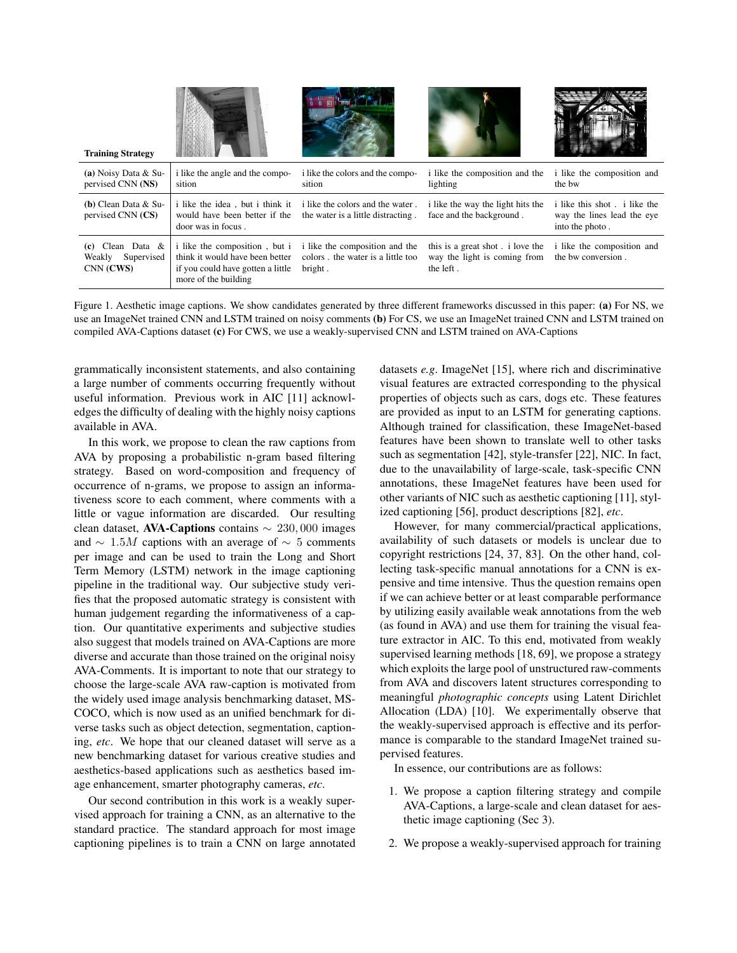| <b>Training Strategy</b>                             |                                                                                                                               |                                                                                |                                                                              |                                                                              |
|------------------------------------------------------|-------------------------------------------------------------------------------------------------------------------------------|--------------------------------------------------------------------------------|------------------------------------------------------------------------------|------------------------------------------------------------------------------|
| (a) Noisy Data $& Su-$<br>pervised CNN (NS)          | i like the angle and the compo-<br>sition                                                                                     | i like the colors and the compo-<br>sition                                     | i like the composition and the<br>lighting                                   | i like the composition and<br>the bw                                         |
| $(b)$ Clean Data & Su-<br>pervised CNN (CS)          | i like the idea, but i think it<br>would have been better if the<br>door was in focus.                                        | i like the colors and the water.<br>the water is a little distracting.         | i like the way the light hits the<br>face and the background.                | i like this shot i like the<br>way the lines lead the eye<br>into the photo. |
| $(c)$ Clean Data &<br>Weakly Supervised<br>CNN (CWS) | i like the composition, but i<br>think it would have been better<br>if you could have gotten a little<br>more of the building | i like the composition and the<br>colors. the water is a little too<br>bright. | this is a great shot i love the<br>way the light is coming from<br>the left. | i like the composition and<br>the bw conversion.                             |

Figure 1. Aesthetic image captions. We show candidates generated by three different frameworks discussed in this paper: (a) For NS, we use an ImageNet trained CNN and LSTM trained on noisy comments (b) For CS, we use an ImageNet trained CNN and LSTM trained on compiled AVA-Captions dataset (c) For CWS, we use a weakly-supervised CNN and LSTM trained on AVA-Captions

grammatically inconsistent statements, and also containing a large number of comments occurring frequently without useful information. Previous work in AIC [11] acknowledges the difficulty of dealing with the highly noisy captions available in AVA.

In this work, we propose to clean the raw captions from AVA by proposing a probabilistic n-gram based filtering strategy. Based on word-composition and frequency of occurrence of n-grams, we propose to assign an informativeness score to each comment, where comments with a little or vague information are discarded. Our resulting clean dataset, AVA-Captions contains ∼ 230, 000 images and  $\sim 1.5M$  captions with an average of  $\sim 5$  comments per image and can be used to train the Long and Short Term Memory (LSTM) network in the image captioning pipeline in the traditional way. Our subjective study verifies that the proposed automatic strategy is consistent with human judgement regarding the informativeness of a caption. Our quantitative experiments and subjective studies also suggest that models trained on AVA-Captions are more diverse and accurate than those trained on the original noisy AVA-Comments. It is important to note that our strategy to choose the large-scale AVA raw-caption is motivated from the widely used image analysis benchmarking dataset, MS-COCO, which is now used as an unified benchmark for diverse tasks such as object detection, segmentation, captioning, *etc*. We hope that our cleaned dataset will serve as a new benchmarking dataset for various creative studies and aesthetics-based applications such as aesthetics based image enhancement, smarter photography cameras, *etc*.

Our second contribution in this work is a weakly supervised approach for training a CNN, as an alternative to the standard practice. The standard approach for most image captioning pipelines is to train a CNN on large annotated

datasets *e.g*. ImageNet [15], where rich and discriminative visual features are extracted corresponding to the physical properties of objects such as cars, dogs etc. These features are provided as input to an LSTM for generating captions. Although trained for classification, these ImageNet-based features have been shown to translate well to other tasks such as segmentation [42], style-transfer [22], NIC. In fact, due to the unavailability of large-scale, task-specific CNN annotations, these ImageNet features have been used for other variants of NIC such as aesthetic captioning [11], stylized captioning [56], product descriptions [82], *etc*.

However, for many commercial/practical applications, availability of such datasets or models is unclear due to copyright restrictions [24, 37, 83]. On the other hand, collecting task-specific manual annotations for a CNN is expensive and time intensive. Thus the question remains open if we can achieve better or at least comparable performance by utilizing easily available weak annotations from the web (as found in AVA) and use them for training the visual feature extractor in AIC. To this end, motivated from weakly supervised learning methods [18, 69], we propose a strategy which exploits the large pool of unstructured raw-comments from AVA and discovers latent structures corresponding to meaningful *photographic concepts* using Latent Dirichlet Allocation (LDA) [10]. We experimentally observe that the weakly-supervised approach is effective and its performance is comparable to the standard ImageNet trained supervised features.

In essence, our contributions are as follows:

- 1. We propose a caption filtering strategy and compile AVA-Captions, a large-scale and clean dataset for aesthetic image captioning (Sec 3).
- 2. We propose a weakly-supervised approach for training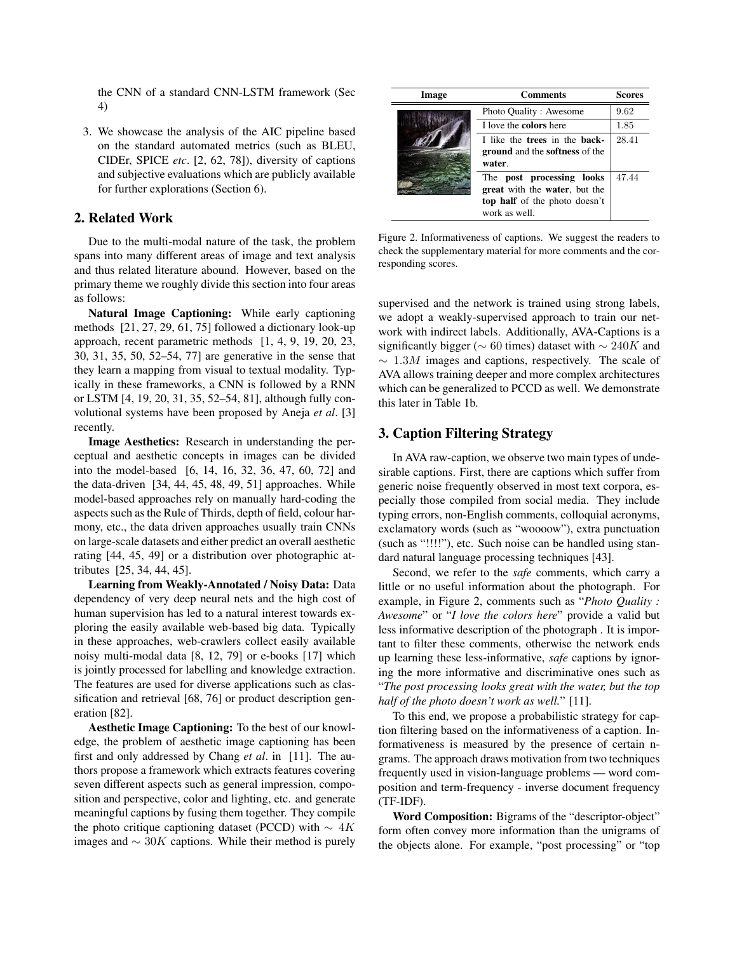the CNN of a standard CNN-LSTM framework (Sec 4)

3. We showcase the analysis of the AIC pipeline based on the standard automated metrics (such as BLEU, CIDEr, SPICE *etc*. [2, 62, 78]), diversity of captions and subjective evaluations which are publicly available for further explorations (Section 6).

# 2. Related Work

Due to the multi-modal nature of the task, the problem spans into many different areas of image and text analysis and thus related literature abound. However, based on the primary theme we roughly divide this section into four areas as follows:

Natural Image Captioning: While early captioning methods [21, 27, 29, 61, 75] followed a dictionary look-up approach, recent parametric methods [1, 4, 9, 19, 20, 23, 30, 31, 35, 50, 52–54, 77] are generative in the sense that they learn a mapping from visual to textual modality. Typically in these frameworks, a CNN is followed by a RNN or LSTM [4, 19, 20, 31, 35, 52–54, 81], although fully convolutional systems have been proposed by Aneja *et al*. [3] recently.

Image Aesthetics: Research in understanding the perceptual and aesthetic concepts in images can be divided into the model-based [6, 14, 16, 32, 36, 47, 60, 72] and the data-driven [34, 44, 45, 48, 49, 51] approaches. While model-based approaches rely on manually hard-coding the aspects such as the Rule of Thirds, depth of field, colour harmony, etc., the data driven approaches usually train CNNs on large-scale datasets and either predict an overall aesthetic rating [44, 45, 49] or a distribution over photographic attributes [25, 34, 44, 45].

Learning from Weakly-Annotated / Noisy Data: Data dependency of very deep neural nets and the high cost of human supervision has led to a natural interest towards exploring the easily available web-based big data. Typically in these approaches, web-crawlers collect easily available noisy multi-modal data [8, 12, 79] or e-books [17] which is jointly processed for labelling and knowledge extraction. The features are used for diverse applications such as classification and retrieval [68, 76] or product description generation [82].

Aesthetic Image Captioning: To the best of our knowledge, the problem of aesthetic image captioning has been first and only addressed by Chang *et al*. in [11]. The authors propose a framework which extracts features covering seven different aspects such as general impression, composition and perspective, color and lighting, etc. and generate meaningful captions by fusing them together. They compile the photo critique captioning dataset (PCCD) with  $\sim 4K$ images and  $\sim$  30K captions. While their method is purely

| Image | <b>Comments</b>                                                                                              | <b>Scores</b> |
|-------|--------------------------------------------------------------------------------------------------------------|---------------|
|       | Photo Quality: Awesome                                                                                       | 9.62          |
|       | I love the <b>colors</b> here                                                                                | 1.85          |
|       | I like the trees in the back-<br><b>ground</b> and the <b>softness</b> of the<br>water.                      | 28.41         |
|       | The post processing looks<br>great with the water, but the<br>top half of the photo doesn't<br>work as well. | 47.44         |

Figure 2. Informativeness of captions. We suggest the readers to check the supplementary material for more comments and the corresponding scores.

supervised and the network is trained using strong labels, we adopt a weakly-supervised approach to train our network with indirect labels. Additionally, AVA-Captions is a significantly bigger ( $\sim 60$  times) dataset with  $\sim 240K$  and  $\sim 1.3M$  images and captions, respectively. The scale of AVA allows training deeper and more complex architectures which can be generalized to PCCD as well. We demonstrate this later in Table 1b.

# 3. Caption Filtering Strategy

In AVA raw-caption, we observe two main types of undesirable captions. First, there are captions which suffer from generic noise frequently observed in most text corpora, especially those compiled from social media. They include typing errors, non-English comments, colloquial acronyms, exclamatory words (such as "woooow"), extra punctuation (such as "!!!!"), etc. Such noise can be handled using standard natural language processing techniques [43].

Second, we refer to the *safe* comments, which carry a little or no useful information about the photograph. For example, in Figure 2, comments such as "*Photo Quality : Awesome*" or "*I love the colors here*" provide a valid but less informative description of the photograph . It is important to filter these comments, otherwise the network ends up learning these less-informative, *safe* captions by ignoring the more informative and discriminative ones such as "*The post processing looks great with the water, but the top half of the photo doesn't work as well.*" [11].

To this end, we propose a probabilistic strategy for caption filtering based on the informativeness of a caption. Informativeness is measured by the presence of certain ngrams. The approach draws motivation from two techniques frequently used in vision-language problems — word composition and term-frequency - inverse document frequency (TF-IDF).

Word Composition: Bigrams of the "descriptor-object" form often convey more information than the unigrams of the objects alone. For example, "post processing" or "top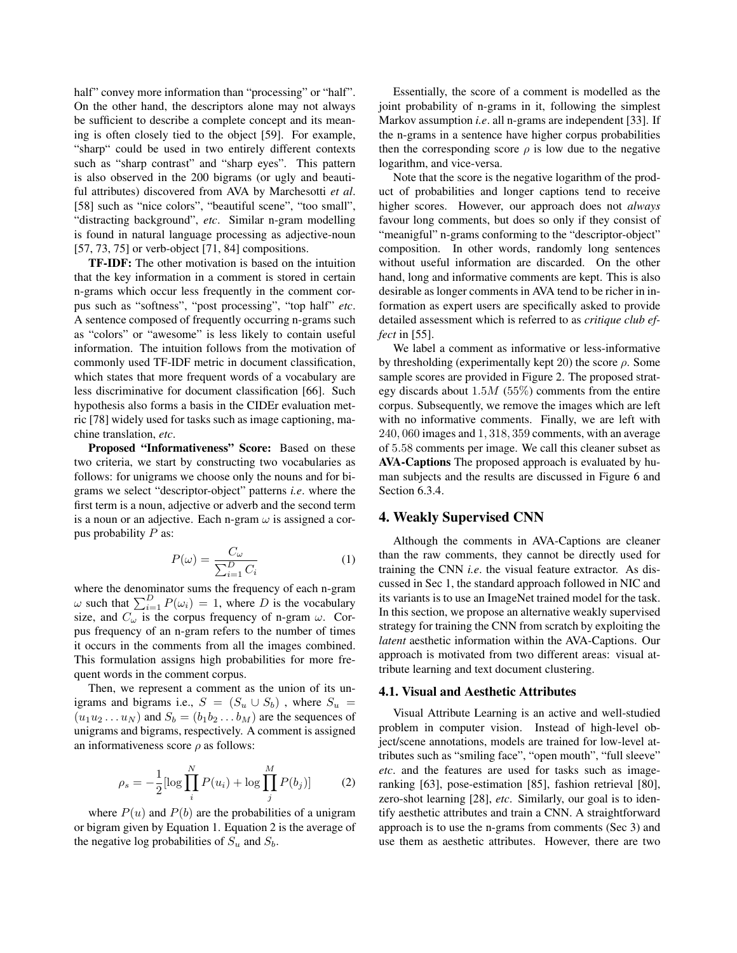half" convey more information than "processing" or "half". On the other hand, the descriptors alone may not always be sufficient to describe a complete concept and its meaning is often closely tied to the object [59]. For example, "sharp" could be used in two entirely different contexts such as "sharp contrast" and "sharp eyes". This pattern is also observed in the 200 bigrams (or ugly and beautiful attributes) discovered from AVA by Marchesotti *et al*. [58] such as "nice colors", "beautiful scene", "too small", "distracting background", *etc*. Similar n-gram modelling is found in natural language processing as adjective-noun [57, 73, 75] or verb-object [71, 84] compositions.

TF-IDF: The other motivation is based on the intuition that the key information in a comment is stored in certain n-grams which occur less frequently in the comment corpus such as "softness", "post processing", "top half" *etc*. A sentence composed of frequently occurring n-grams such as "colors" or "awesome" is less likely to contain useful information. The intuition follows from the motivation of commonly used TF-IDF metric in document classification, which states that more frequent words of a vocabulary are less discriminative for document classification [66]. Such hypothesis also forms a basis in the CIDEr evaluation metric [78] widely used for tasks such as image captioning, machine translation, *etc*.

Proposed "Informativeness" Score: Based on these two criteria, we start by constructing two vocabularies as follows: for unigrams we choose only the nouns and for bigrams we select "descriptor-object" patterns *i.e*. where the first term is a noun, adjective or adverb and the second term is a noun or an adjective. Each n-gram  $\omega$  is assigned a corpus probability  $P$  as:

$$
P(\omega) = \frac{C_{\omega}}{\sum_{i=1}^{D} C_i} \tag{1}
$$

where the denominator sums the frequency of each n-gram  $\omega$  such that  $\sum_{i=1}^{D} P(\omega_i) = 1$ , where D is the vocabulary size, and  $C_{\omega}$  is the corpus frequency of n-gram  $\omega$ . Corpus frequency of an n-gram refers to the number of times it occurs in the comments from all the images combined. This formulation assigns high probabilities for more frequent words in the comment corpus.

Then, we represent a comment as the union of its unigrams and bigrams i.e.,  $S = (S_u \cup S_b)$ , where  $S_u$  $(u_1u_2 \ldots u_N)$  and  $S_b = (b_1b_2 \ldots b_M)$  are the sequences of unigrams and bigrams, respectively. A comment is assigned an informativeness score  $\rho$  as follows:

$$
\rho_s = -\frac{1}{2} [\log \prod_i^N P(u_i) + \log \prod_j^M P(b_j)]
$$
 (2)

where  $P(u)$  and  $P(b)$  are the probabilities of a unigram or bigram given by Equation 1. Equation 2 is the average of the negative log probabilities of  $S_u$  and  $S_b$ .

Essentially, the score of a comment is modelled as the joint probability of n-grams in it, following the simplest Markov assumption *i.e*. all n-grams are independent [33]. If the n-grams in a sentence have higher corpus probabilities then the corresponding score  $\rho$  is low due to the negative logarithm, and vice-versa.

Note that the score is the negative logarithm of the product of probabilities and longer captions tend to receive higher scores. However, our approach does not *always* favour long comments, but does so only if they consist of "meanigful" n-grams conforming to the "descriptor-object" composition. In other words, randomly long sentences without useful information are discarded. On the other hand, long and informative comments are kept. This is also desirable as longer comments in AVA tend to be richer in information as expert users are specifically asked to provide detailed assessment which is referred to as *critique club effect* in [55].

We label a comment as informative or less-informative by thresholding (experimentally kept 20) the score  $\rho$ . Some sample scores are provided in Figure 2. The proposed strategy discards about  $1.5M$  (55%) comments from the entire corpus. Subsequently, we remove the images which are left with no informative comments. Finally, we are left with 240, 060 images and 1, 318, 359 comments, with an average of 5.58 comments per image. We call this cleaner subset as AVA-Captions The proposed approach is evaluated by human subjects and the results are discussed in Figure 6 and Section 6.3.4.

# 4. Weakly Supervised CNN

Although the comments in AVA-Captions are cleaner than the raw comments, they cannot be directly used for training the CNN *i.e*. the visual feature extractor. As discussed in Sec 1, the standard approach followed in NIC and its variants is to use an ImageNet trained model for the task. In this section, we propose an alternative weakly supervised strategy for training the CNN from scratch by exploiting the *latent* aesthetic information within the AVA-Captions. Our approach is motivated from two different areas: visual attribute learning and text document clustering.

#### 4.1. Visual and Aesthetic Attributes

Visual Attribute Learning is an active and well-studied problem in computer vision. Instead of high-level object/scene annotations, models are trained for low-level attributes such as "smiling face", "open mouth", "full sleeve" *etc*. and the features are used for tasks such as imageranking [63], pose-estimation [85], fashion retrieval [80], zero-shot learning [28], *etc*. Similarly, our goal is to identify aesthetic attributes and train a CNN. A straightforward approach is to use the n-grams from comments (Sec 3) and use them as aesthetic attributes. However, there are two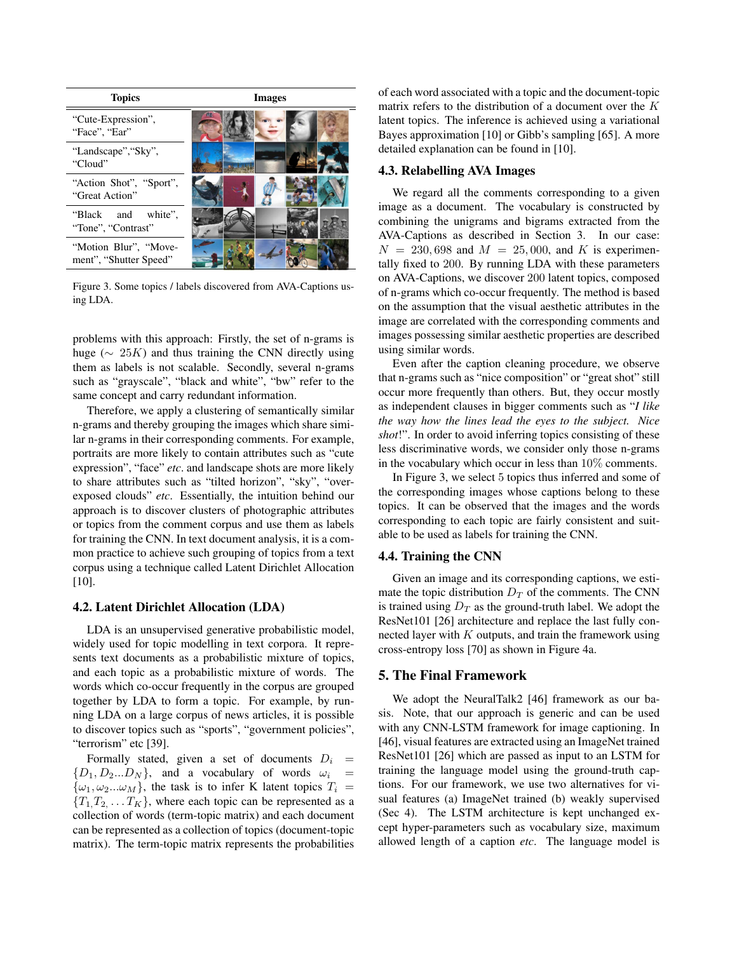

Figure 3. Some topics / labels discovered from AVA-Captions using LDA.

problems with this approach: Firstly, the set of n-grams is huge ( $\sim 25K$ ) and thus training the CNN directly using them as labels is not scalable. Secondly, several n-grams such as "grayscale", "black and white", "bw" refer to the same concept and carry redundant information.

Therefore, we apply a clustering of semantically similar n-grams and thereby grouping the images which share similar n-grams in their corresponding comments. For example, portraits are more likely to contain attributes such as "cute expression", "face" *etc*. and landscape shots are more likely to share attributes such as "tilted horizon", "sky", "overexposed clouds" *etc*. Essentially, the intuition behind our approach is to discover clusters of photographic attributes or topics from the comment corpus and use them as labels for training the CNN. In text document analysis, it is a common practice to achieve such grouping of topics from a text corpus using a technique called Latent Dirichlet Allocation [10].

#### 4.2. Latent Dirichlet Allocation (LDA)

LDA is an unsupervised generative probabilistic model, widely used for topic modelling in text corpora. It represents text documents as a probabilistic mixture of topics, and each topic as a probabilistic mixture of words. The words which co-occur frequently in the corpus are grouped together by LDA to form a topic. For example, by running LDA on a large corpus of news articles, it is possible to discover topics such as "sports", "government policies", "terrorism" etc [39].

Formally stated, given a set of documents  $D_i$  =  $\{D_1, D_2...D_N\}$ , and a vocabulary of words  $\omega_i$  =  $\{\omega_1, \omega_2...\omega_M\}$ , the task is to infer K latent topics  $T_i =$  ${T_1, T_2, \ldots T_K}$ , where each topic can be represented as a collection of words (term-topic matrix) and each document can be represented as a collection of topics (document-topic matrix). The term-topic matrix represents the probabilities of each word associated with a topic and the document-topic matrix refers to the distribution of a document over the K latent topics. The inference is achieved using a variational Bayes approximation [10] or Gibb's sampling [65]. A more detailed explanation can be found in [10].

#### 4.3. Relabelling AVA Images

We regard all the comments corresponding to a given image as a document. The vocabulary is constructed by combining the unigrams and bigrams extracted from the AVA-Captions as described in Section 3. In our case:  $N = 230,698$  and  $M = 25,000$ , and K is experimentally fixed to 200. By running LDA with these parameters on AVA-Captions, we discover 200 latent topics, composed of n-grams which co-occur frequently. The method is based on the assumption that the visual aesthetic attributes in the image are correlated with the corresponding comments and images possessing similar aesthetic properties are described using similar words.

Even after the caption cleaning procedure, we observe that n-grams such as "nice composition" or "great shot" still occur more frequently than others. But, they occur mostly as independent clauses in bigger comments such as "*I like the way how the lines lead the eyes to the subject. Nice shot*!". In order to avoid inferring topics consisting of these less discriminative words, we consider only those n-grams in the vocabulary which occur in less than 10% comments.

In Figure 3, we select 5 topics thus inferred and some of the corresponding images whose captions belong to these topics. It can be observed that the images and the words corresponding to each topic are fairly consistent and suitable to be used as labels for training the CNN.

# 4.4. Training the CNN

Given an image and its corresponding captions, we estimate the topic distribution  $D_T$  of the comments. The CNN is trained using  $D_T$  as the ground-truth label. We adopt the ResNet101 [26] architecture and replace the last fully connected layer with  $K$  outputs, and train the framework using cross-entropy loss [70] as shown in Figure 4a.

# 5. The Final Framework

We adopt the NeuralTalk2 [46] framework as our basis. Note, that our approach is generic and can be used with any CNN-LSTM framework for image captioning. In [46], visual features are extracted using an ImageNet trained ResNet101 [26] which are passed as input to an LSTM for training the language model using the ground-truth captions. For our framework, we use two alternatives for visual features (a) ImageNet trained (b) weakly supervised (Sec 4). The LSTM architecture is kept unchanged except hyper-parameters such as vocabulary size, maximum allowed length of a caption *etc*. The language model is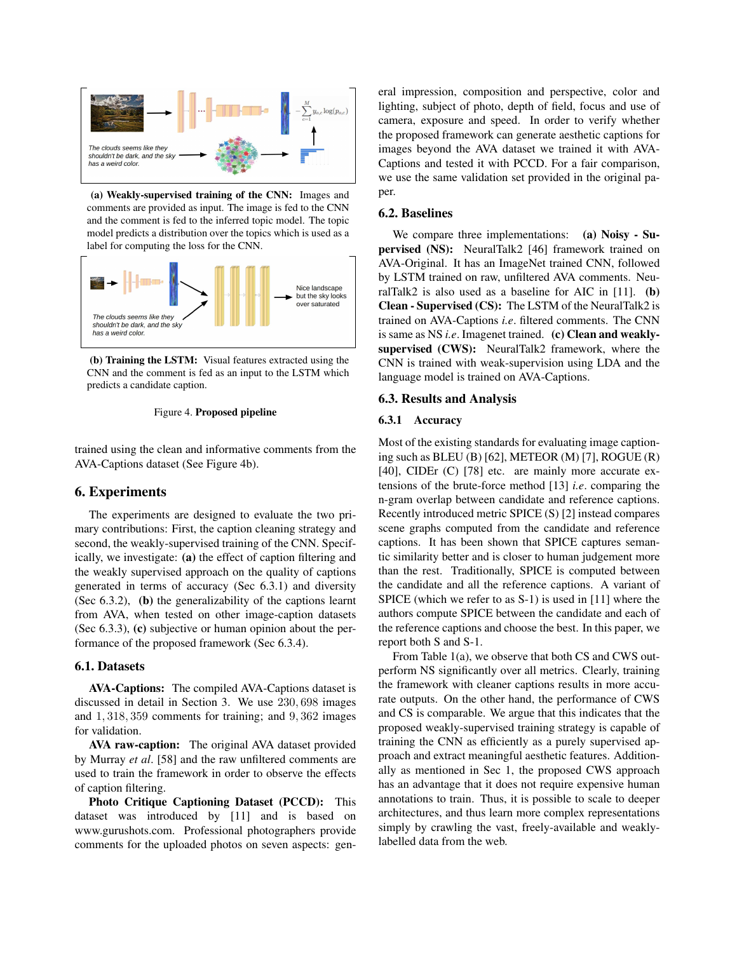

(a) Weakly-supervised training of the CNN: Images and comments are provided as input. The image is fed to the CNN and the comment is fed to the inferred topic model. The topic model predicts a distribution over the topics which is used as a label for computing the loss for the CNN.



(b) Training the LSTM: Visual features extracted using the CNN and the comment is fed as an input to the LSTM which predicts a candidate caption.

#### Figure 4. Proposed pipeline

trained using the clean and informative comments from the AVA-Captions dataset (See Figure 4b).

## 6. Experiments

The experiments are designed to evaluate the two primary contributions: First, the caption cleaning strategy and second, the weakly-supervised training of the CNN. Specifically, we investigate: (a) the effect of caption filtering and the weakly supervised approach on the quality of captions generated in terms of accuracy (Sec 6.3.1) and diversity (Sec 6.3.2), (b) the generalizability of the captions learnt from AVA, when tested on other image-caption datasets (Sec 6.3.3), (c) subjective or human opinion about the performance of the proposed framework (Sec 6.3.4).

#### 6.1. Datasets

AVA-Captions: The compiled AVA-Captions dataset is discussed in detail in Section 3. We use 230, 698 images and 1, 318, 359 comments for training; and 9, 362 images for validation.

AVA raw-caption: The original AVA dataset provided by Murray *et al*. [58] and the raw unfiltered comments are used to train the framework in order to observe the effects of caption filtering.

Photo Critique Captioning Dataset (PCCD): This dataset was introduced by [11] and is based on www.gurushots.com. Professional photographers provide comments for the uploaded photos on seven aspects: gen-

eral impression, composition and perspective, color and lighting, subject of photo, depth of field, focus and use of camera, exposure and speed. In order to verify whether the proposed framework can generate aesthetic captions for images beyond the AVA dataset we trained it with AVA-Captions and tested it with PCCD. For a fair comparison, we use the same validation set provided in the original paper.

# 6.2. Baselines

We compare three implementations: (a) Noisy - Supervised (NS): NeuralTalk2 [46] framework trained on AVA-Original. It has an ImageNet trained CNN, followed by LSTM trained on raw, unfiltered AVA comments. NeuralTalk2 is also used as a baseline for AIC in  $[11]$ . (b) Clean - Supervised (CS): The LSTM of the NeuralTalk2 is trained on AVA-Captions *i.e*. filtered comments. The CNN is same as NS *i.e*. Imagenet trained. (c) Clean and weaklysupervised (CWS): NeuralTalk2 framework, where the CNN is trained with weak-supervision using LDA and the language model is trained on AVA-Captions.

## 6.3. Results and Analysis

#### 6.3.1 Accuracy

Most of the existing standards for evaluating image captioning such as BLEU (B) [62], METEOR (M) [7], ROGUE (R) [40], CIDEr (C) [78] etc. are mainly more accurate extensions of the brute-force method [13] *i.e*. comparing the n-gram overlap between candidate and reference captions. Recently introduced metric SPICE (S) [2] instead compares scene graphs computed from the candidate and reference captions. It has been shown that SPICE captures semantic similarity better and is closer to human judgement more than the rest. Traditionally, SPICE is computed between the candidate and all the reference captions. A variant of SPICE (which we refer to as S-1) is used in [11] where the authors compute SPICE between the candidate and each of the reference captions and choose the best. In this paper, we report both S and S-1.

From Table 1(a), we observe that both CS and CWS outperform NS significantly over all metrics. Clearly, training the framework with cleaner captions results in more accurate outputs. On the other hand, the performance of CWS and CS is comparable. We argue that this indicates that the proposed weakly-supervised training strategy is capable of training the CNN as efficiently as a purely supervised approach and extract meaningful aesthetic features. Additionally as mentioned in Sec 1, the proposed CWS approach has an advantage that it does not require expensive human annotations to train. Thus, it is possible to scale to deeper architectures, and thus learn more complex representations simply by crawling the vast, freely-available and weaklylabelled data from the web.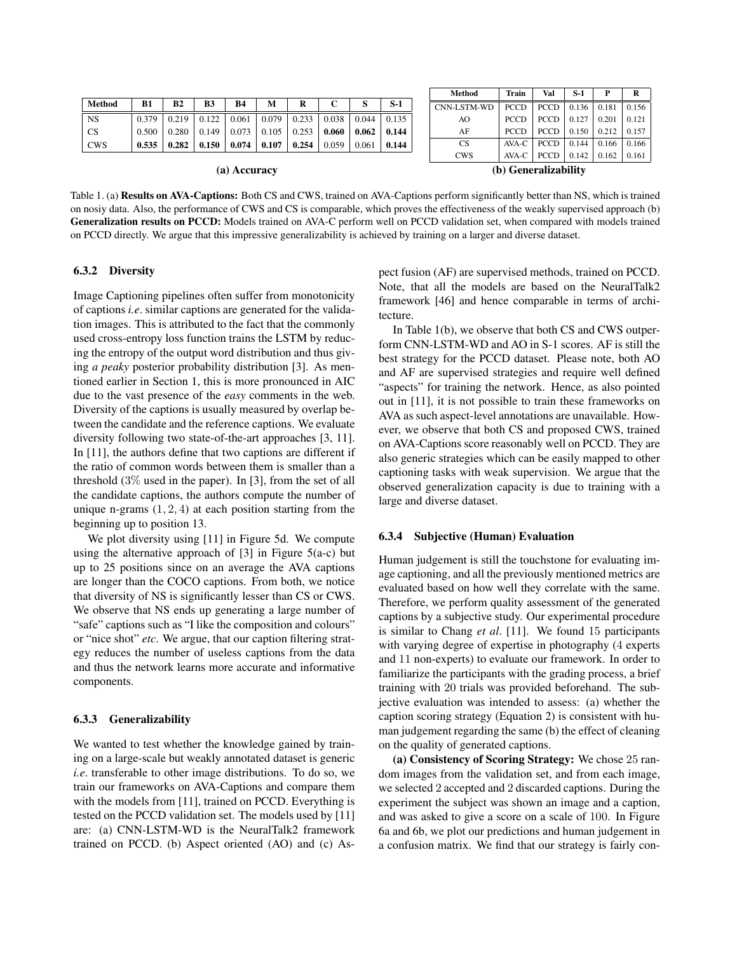| Method     | <b>B1</b> | <b>B2</b>         | <b>B3</b> | <b>B4</b> | М                                                                                                 | R |       |                   | $S-1$ |
|------------|-----------|-------------------|-----------|-----------|---------------------------------------------------------------------------------------------------|---|-------|-------------------|-------|
| <b>NS</b>  |           | $0.379 \pm 0.219$ |           |           | $\vert$ 0.122 $\vert$ 0.061 $\vert$ 0.079 $\vert$ 0.233 $\vert$ 0.038 $\vert$ 0.044 $\vert$ 0.135 |   |       |                   |       |
| <b>CS</b>  |           |                   |           |           | $0.500$   $0.280$   $0.149$   $0.073$   $0.105$   $0.253$   $0.060$   $0.062$   0.144             |   |       |                   |       |
| <b>CWS</b> | 0.535     | 0.282             |           |           | $0.150 \pm 0.074 \pm 0.107 \pm 0.254 \pm 0.002$                                                   |   | 0.059 | $0.061 \pm 0.144$ |       |

Method | Train | Val | S-1 | P | R CNN-LSTM-WD PCCD PCCD 0.136 0.181 0.156 AO PCCD | PCCD | 0.127 | 0.201 | 0.121 AF PCCD | PCCD | 0.150 | 0.212 | 0.157 CS | AVA-C | PCCD | 0.144 | 0.166 | 0.166 CWS | AVA-C | PCCD | 0.142 | 0.162 | 0.161 (a) Accuracy (b) Generalizability

Table 1. (a) Results on AVA-Captions: Both CS and CWS, trained on AVA-Captions perform significantly better than NS, which is trained on nosiy data. Also, the performance of CWS and CS is comparable, which proves the effectiveness of the weakly supervised approach (b) Generalization results on PCCD: Models trained on AVA-C perform well on PCCD validation set, when compared with models trained on PCCD directly. We argue that this impressive generalizability is achieved by training on a larger and diverse dataset.

#### 6.3.2 Diversity

Image Captioning pipelines often suffer from monotonicity of captions *i.e*. similar captions are generated for the validation images. This is attributed to the fact that the commonly used cross-entropy loss function trains the LSTM by reducing the entropy of the output word distribution and thus giving *a peaky* posterior probability distribution [3]. As mentioned earlier in Section 1, this is more pronounced in AIC due to the vast presence of the *easy* comments in the web. Diversity of the captions is usually measured by overlap between the candidate and the reference captions. We evaluate diversity following two state-of-the-art approaches [3, 11]. In [11], the authors define that two captions are different if the ratio of common words between them is smaller than a threshold (3% used in the paper). In [3], from the set of all the candidate captions, the authors compute the number of unique n-grams  $(1, 2, 4)$  at each position starting from the beginning up to position 13.

We plot diversity using [11] in Figure 5d. We compute using the alternative approach of  $[3]$  in Figure 5(a-c) but up to 25 positions since on an average the AVA captions are longer than the COCO captions. From both, we notice that diversity of NS is significantly lesser than CS or CWS. We observe that NS ends up generating a large number of "safe" captions such as "I like the composition and colours" or "nice shot" *etc*. We argue, that our caption filtering strategy reduces the number of useless captions from the data and thus the network learns more accurate and informative components.

## 6.3.3 Generalizability

We wanted to test whether the knowledge gained by training on a large-scale but weakly annotated dataset is generic *i.e*. transferable to other image distributions. To do so, we train our frameworks on AVA-Captions and compare them with the models from [11], trained on PCCD. Everything is tested on the PCCD validation set. The models used by [11] are: (a) CNN-LSTM-WD is the NeuralTalk2 framework trained on PCCD. (b) Aspect oriented (AO) and (c) Aspect fusion (AF) are supervised methods, trained on PCCD. Note, that all the models are based on the NeuralTalk2 framework [46] and hence comparable in terms of architecture.

In Table 1(b), we observe that both CS and CWS outperform CNN-LSTM-WD and AO in S-1 scores. AF is still the best strategy for the PCCD dataset. Please note, both AO and AF are supervised strategies and require well defined "aspects" for training the network. Hence, as also pointed out in [11], it is not possible to train these frameworks on AVA as such aspect-level annotations are unavailable. However, we observe that both CS and proposed CWS, trained on AVA-Captions score reasonably well on PCCD. They are also generic strategies which can be easily mapped to other captioning tasks with weak supervision. We argue that the observed generalization capacity is due to training with a large and diverse dataset.

#### 6.3.4 Subjective (Human) Evaluation

Human judgement is still the touchstone for evaluating image captioning, and all the previously mentioned metrics are evaluated based on how well they correlate with the same. Therefore, we perform quality assessment of the generated captions by a subjective study. Our experimental procedure is similar to Chang *et al*. [11]. We found 15 participants with varying degree of expertise in photography (4 experts and 11 non-experts) to evaluate our framework. In order to familiarize the participants with the grading process, a brief training with 20 trials was provided beforehand. The subjective evaluation was intended to assess: (a) whether the caption scoring strategy (Equation 2) is consistent with human judgement regarding the same (b) the effect of cleaning on the quality of generated captions.

(a) Consistency of Scoring Strategy: We chose 25 random images from the validation set, and from each image, we selected 2 accepted and 2 discarded captions. During the experiment the subject was shown an image and a caption, and was asked to give a score on a scale of 100. In Figure 6a and 6b, we plot our predictions and human judgement in a confusion matrix. We find that our strategy is fairly con-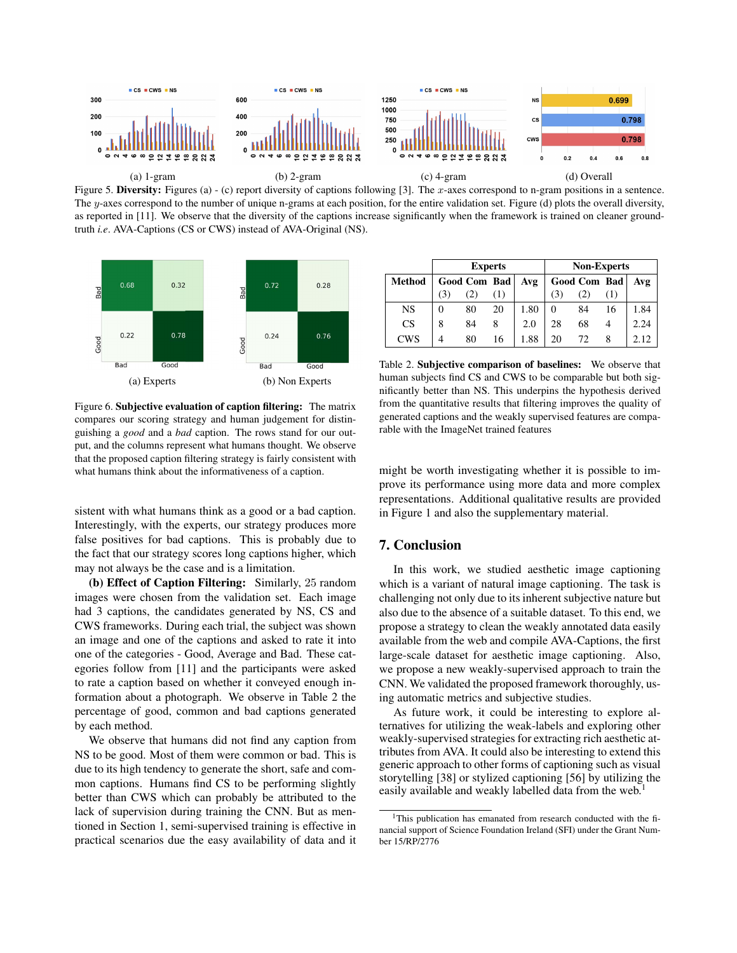

Figure 5. Diversity: Figures (a) - (c) report diversity of captions following [3]. The x-axes correspond to n-gram positions in a sentence. The y-axes correspond to the number of unique n-grams at each position, for the entire validation set. Figure (d) plots the overall diversity, as reported in [11]. We observe that the diversity of the captions increase significantly when the framework is trained on cleaner groundtruth *i.e*. AVA-Captions (CS or CWS) instead of AVA-Original (NS).



|               | <b>Experts</b> |              |     |      | <b>Non-Experts</b> |              |     |      |
|---------------|----------------|--------------|-----|------|--------------------|--------------|-----|------|
| <b>Method</b> |                | Good Com Bad |     | Avg  |                    | Good Com Bad |     | Avg  |
|               |                |              | (1) |      |                    |              | (1) |      |
| <b>NS</b>     |                | 80           | 20  | 1.80 |                    | 84           | 16  | 1.84 |
| CS            | 8              | 84           | 8   | 2.0  | 28                 | 68           |     | 2.24 |
| <b>CWS</b>    |                | 80           | 16  | 1.88 | 20                 | 72           |     |      |

Table 2. Subjective comparison of baselines: We observe that human subjects find CS and CWS to be comparable but both significantly better than NS. This underpins the hypothesis derived from the quantitative results that filtering improves the quality of generated captions and the weakly supervised features are comparable with the ImageNet trained features

Figure 6. Subjective evaluation of caption filtering: The matrix compares our scoring strategy and human judgement for distinguishing a *good* and a *bad* caption. The rows stand for our output, and the columns represent what humans thought. We observe that the proposed caption filtering strategy is fairly consistent with what humans think about the informativeness of a caption.

sistent with what humans think as a good or a bad caption. Interestingly, with the experts, our strategy produces more false positives for bad captions. This is probably due to the fact that our strategy scores long captions higher, which may not always be the case and is a limitation.

(b) Effect of Caption Filtering: Similarly, 25 random images were chosen from the validation set. Each image had 3 captions, the candidates generated by NS, CS and CWS frameworks. During each trial, the subject was shown an image and one of the captions and asked to rate it into one of the categories - Good, Average and Bad. These categories follow from [11] and the participants were asked to rate a caption based on whether it conveyed enough information about a photograph. We observe in Table 2 the percentage of good, common and bad captions generated by each method.

We observe that humans did not find any caption from NS to be good. Most of them were common or bad. This is due to its high tendency to generate the short, safe and common captions. Humans find CS to be performing slightly better than CWS which can probably be attributed to the lack of supervision during training the CNN. But as mentioned in Section 1, semi-supervised training is effective in practical scenarios due the easy availability of data and it might be worth investigating whether it is possible to improve its performance using more data and more complex representations. Additional qualitative results are provided in Figure 1 and also the supplementary material.

# 7. Conclusion

In this work, we studied aesthetic image captioning which is a variant of natural image captioning. The task is challenging not only due to its inherent subjective nature but also due to the absence of a suitable dataset. To this end, we propose a strategy to clean the weakly annotated data easily available from the web and compile AVA-Captions, the first large-scale dataset for aesthetic image captioning. Also, we propose a new weakly-supervised approach to train the CNN. We validated the proposed framework thoroughly, using automatic metrics and subjective studies.

As future work, it could be interesting to explore alternatives for utilizing the weak-labels and exploring other weakly-supervised strategies for extracting rich aesthetic attributes from AVA. It could also be interesting to extend this generic approach to other forms of captioning such as visual storytelling [38] or stylized captioning [56] by utilizing the easily available and weakly labelled data from the web.<sup>1</sup>

<sup>&</sup>lt;sup>1</sup>This publication has emanated from research conducted with the financial support of Science Foundation Ireland (SFI) under the Grant Number 15/RP/2776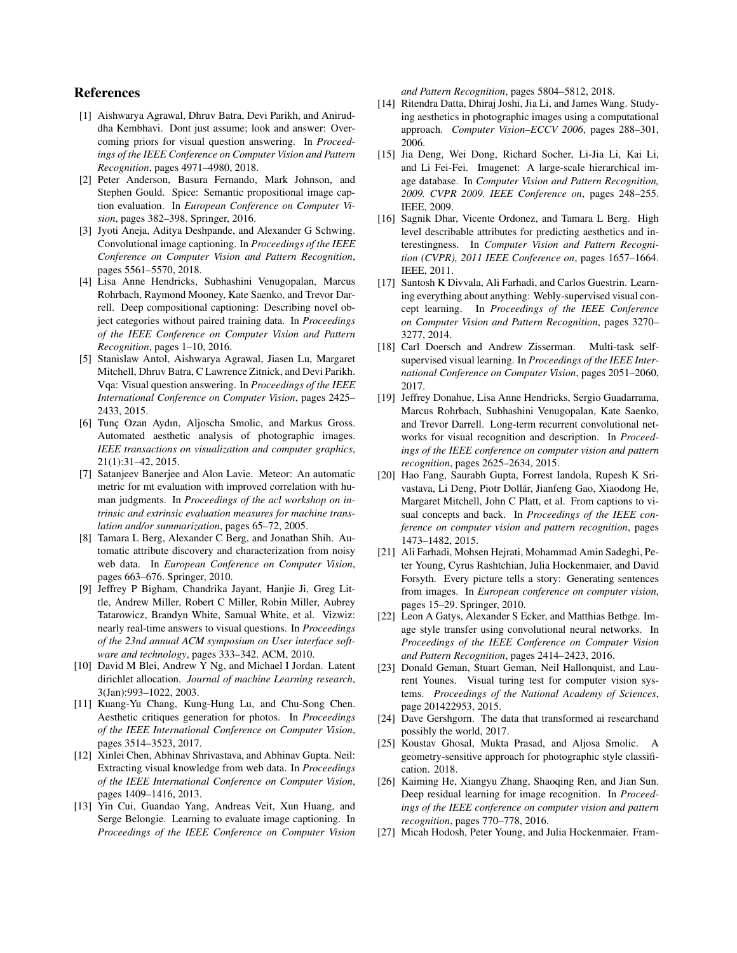# References

- [1] Aishwarya Agrawal, Dhruv Batra, Devi Parikh, and Aniruddha Kembhavi. Dont just assume; look and answer: Overcoming priors for visual question answering. In *Proceedings of the IEEE Conference on Computer Vision and Pattern Recognition*, pages 4971–4980, 2018.
- [2] Peter Anderson, Basura Fernando, Mark Johnson, and Stephen Gould. Spice: Semantic propositional image caption evaluation. In *European Conference on Computer Vision*, pages 382–398. Springer, 2016.
- [3] Jyoti Aneja, Aditya Deshpande, and Alexander G Schwing. Convolutional image captioning. In *Proceedings of the IEEE Conference on Computer Vision and Pattern Recognition*, pages 5561–5570, 2018.
- [4] Lisa Anne Hendricks, Subhashini Venugopalan, Marcus Rohrbach, Raymond Mooney, Kate Saenko, and Trevor Darrell. Deep compositional captioning: Describing novel object categories without paired training data. In *Proceedings of the IEEE Conference on Computer Vision and Pattern Recognition*, pages 1–10, 2016.
- [5] Stanislaw Antol, Aishwarya Agrawal, Jiasen Lu, Margaret Mitchell, Dhruv Batra, C Lawrence Zitnick, and Devi Parikh. Vqa: Visual question answering. In *Proceedings of the IEEE International Conference on Computer Vision*, pages 2425– 2433, 2015.
- [6] Tunc Ozan Aydın, Aljoscha Smolic, and Markus Gross. Automated aesthetic analysis of photographic images. *IEEE transactions on visualization and computer graphics*, 21(1):31–42, 2015.
- [7] Satanjeev Banerjee and Alon Lavie. Meteor: An automatic metric for mt evaluation with improved correlation with human judgments. In *Proceedings of the acl workshop on intrinsic and extrinsic evaluation measures for machine translation and/or summarization*, pages 65–72, 2005.
- [8] Tamara L Berg, Alexander C Berg, and Jonathan Shih. Automatic attribute discovery and characterization from noisy web data. In *European Conference on Computer Vision*, pages 663–676. Springer, 2010.
- [9] Jeffrey P Bigham, Chandrika Jayant, Hanjie Ji, Greg Little, Andrew Miller, Robert C Miller, Robin Miller, Aubrey Tatarowicz, Brandyn White, Samual White, et al. Vizwiz: nearly real-time answers to visual questions. In *Proceedings of the 23nd annual ACM symposium on User interface software and technology*, pages 333–342. ACM, 2010.
- [10] David M Blei, Andrew Y Ng, and Michael I Jordan. Latent dirichlet allocation. *Journal of machine Learning research*, 3(Jan):993–1022, 2003.
- [11] Kuang-Yu Chang, Kung-Hung Lu, and Chu-Song Chen. Aesthetic critiques generation for photos. In *Proceedings of the IEEE International Conference on Computer Vision*, pages 3514–3523, 2017.
- [12] Xinlei Chen, Abhinav Shrivastava, and Abhinav Gupta. Neil: Extracting visual knowledge from web data. In *Proceedings of the IEEE International Conference on Computer Vision*, pages 1409–1416, 2013.
- [13] Yin Cui, Guandao Yang, Andreas Veit, Xun Huang, and Serge Belongie. Learning to evaluate image captioning. In *Proceedings of the IEEE Conference on Computer Vision*

*and Pattern Recognition*, pages 5804–5812, 2018.

- [14] Ritendra Datta, Dhiraj Joshi, Jia Li, and James Wang. Studying aesthetics in photographic images using a computational approach. *Computer Vision–ECCV 2006*, pages 288–301, 2006.
- [15] Jia Deng, Wei Dong, Richard Socher, Li-Jia Li, Kai Li, and Li Fei-Fei. Imagenet: A large-scale hierarchical image database. In *Computer Vision and Pattern Recognition, 2009. CVPR 2009. IEEE Conference on*, pages 248–255. IEEE, 2009.
- [16] Sagnik Dhar, Vicente Ordonez, and Tamara L Berg. High level describable attributes for predicting aesthetics and interestingness. In *Computer Vision and Pattern Recognition (CVPR), 2011 IEEE Conference on*, pages 1657–1664. IEEE, 2011.
- [17] Santosh K Divvala, Ali Farhadi, and Carlos Guestrin. Learning everything about anything: Webly-supervised visual concept learning. In *Proceedings of the IEEE Conference on Computer Vision and Pattern Recognition*, pages 3270– 3277, 2014.
- [18] Carl Doersch and Andrew Zisserman. Multi-task selfsupervised visual learning. In *Proceedings of the IEEE International Conference on Computer Vision*, pages 2051–2060, 2017.
- [19] Jeffrey Donahue, Lisa Anne Hendricks, Sergio Guadarrama, Marcus Rohrbach, Subhashini Venugopalan, Kate Saenko, and Trevor Darrell. Long-term recurrent convolutional networks for visual recognition and description. In *Proceedings of the IEEE conference on computer vision and pattern recognition*, pages 2625–2634, 2015.
- [20] Hao Fang, Saurabh Gupta, Forrest Iandola, Rupesh K Srivastava, Li Deng, Piotr Dollár, Jianfeng Gao, Xiaodong He, Margaret Mitchell, John C Platt, et al. From captions to visual concepts and back. In *Proceedings of the IEEE conference on computer vision and pattern recognition*, pages 1473–1482, 2015.
- [21] Ali Farhadi, Mohsen Hejrati, Mohammad Amin Sadeghi, Peter Young, Cyrus Rashtchian, Julia Hockenmaier, and David Forsyth. Every picture tells a story: Generating sentences from images. In *European conference on computer vision*, pages 15–29. Springer, 2010.
- [22] Leon A Gatys, Alexander S Ecker, and Matthias Bethge. Image style transfer using convolutional neural networks. In *Proceedings of the IEEE Conference on Computer Vision and Pattern Recognition*, pages 2414–2423, 2016.
- [23] Donald Geman, Stuart Geman, Neil Hallonquist, and Laurent Younes. Visual turing test for computer vision systems. *Proceedings of the National Academy of Sciences*, page 201422953, 2015.
- [24] Dave Gershgorn. The data that transformed ai researchand possibly the world, 2017.
- [25] Koustav Ghosal, Mukta Prasad, and Aljosa Smolic. A geometry-sensitive approach for photographic style classification. 2018.
- [26] Kaiming He, Xiangyu Zhang, Shaoqing Ren, and Jian Sun. Deep residual learning for image recognition. In *Proceedings of the IEEE conference on computer vision and pattern recognition*, pages 770–778, 2016.
- [27] Micah Hodosh, Peter Young, and Julia Hockenmaier. Fram-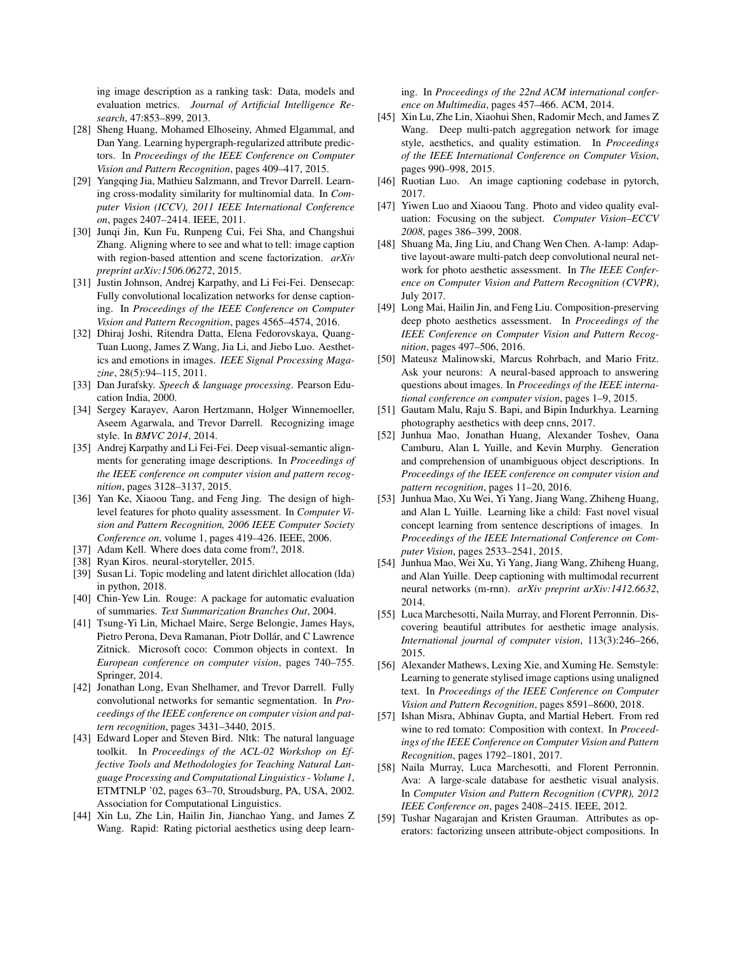ing image description as a ranking task: Data, models and evaluation metrics. *Journal of Artificial Intelligence Research*, 47:853–899, 2013.

- [28] Sheng Huang, Mohamed Elhoseiny, Ahmed Elgammal, and Dan Yang. Learning hypergraph-regularized attribute predictors. In *Proceedings of the IEEE Conference on Computer Vision and Pattern Recognition*, pages 409–417, 2015.
- [29] Yangqing Jia, Mathieu Salzmann, and Trevor Darrell. Learning cross-modality similarity for multinomial data. In *Computer Vision (ICCV), 2011 IEEE International Conference on*, pages 2407–2414. IEEE, 2011.
- [30] Junqi Jin, Kun Fu, Runpeng Cui, Fei Sha, and Changshui Zhang. Aligning where to see and what to tell: image caption with region-based attention and scene factorization. *arXiv preprint arXiv:1506.06272*, 2015.
- [31] Justin Johnson, Andrej Karpathy, and Li Fei-Fei. Densecap: Fully convolutional localization networks for dense captioning. In *Proceedings of the IEEE Conference on Computer Vision and Pattern Recognition*, pages 4565–4574, 2016.
- [32] Dhiraj Joshi, Ritendra Datta, Elena Fedorovskaya, Quang-Tuan Luong, James Z Wang, Jia Li, and Jiebo Luo. Aesthetics and emotions in images. *IEEE Signal Processing Magazine*, 28(5):94–115, 2011.
- [33] Dan Jurafsky. *Speech & language processing*. Pearson Education India, 2000.
- [34] Sergey Karayev, Aaron Hertzmann, Holger Winnemoeller, Aseem Agarwala, and Trevor Darrell. Recognizing image style. In *BMVC 2014*, 2014.
- [35] Andrej Karpathy and Li Fei-Fei. Deep visual-semantic alignments for generating image descriptions. In *Proceedings of the IEEE conference on computer vision and pattern recognition*, pages 3128–3137, 2015.
- [36] Yan Ke, Xiaoou Tang, and Feng Jing. The design of highlevel features for photo quality assessment. In *Computer Vision and Pattern Recognition, 2006 IEEE Computer Society Conference on*, volume 1, pages 419–426. IEEE, 2006.
- [37] Adam Kell. Where does data come from?, 2018.
- [38] Ryan Kiros. neural-storyteller, 2015.
- [39] Susan Li. Topic modeling and latent dirichlet allocation (lda) in python, 2018.
- [40] Chin-Yew Lin. Rouge: A package for automatic evaluation of summaries. *Text Summarization Branches Out*, 2004.
- [41] Tsung-Yi Lin, Michael Maire, Serge Belongie, James Hays, Pietro Perona, Deva Ramanan, Piotr Dollár, and C Lawrence Zitnick. Microsoft coco: Common objects in context. In *European conference on computer vision*, pages 740–755. Springer, 2014.
- [42] Jonathan Long, Evan Shelhamer, and Trevor Darrell. Fully convolutional networks for semantic segmentation. In *Proceedings of the IEEE conference on computer vision and pattern recognition*, pages 3431–3440, 2015.
- [43] Edward Loper and Steven Bird. Nltk: The natural language toolkit. In *Proceedings of the ACL-02 Workshop on Effective Tools and Methodologies for Teaching Natural Language Processing and Computational Linguistics - Volume 1*, ETMTNLP '02, pages 63–70, Stroudsburg, PA, USA, 2002. Association for Computational Linguistics.
- [44] Xin Lu, Zhe Lin, Hailin Jin, Jianchao Yang, and James Z Wang. Rapid: Rating pictorial aesthetics using deep learn-

ing. In *Proceedings of the 22nd ACM international conference on Multimedia*, pages 457–466. ACM, 2014.

- [45] Xin Lu, Zhe Lin, Xiaohui Shen, Radomir Mech, and James Z Wang. Deep multi-patch aggregation network for image style, aesthetics, and quality estimation. In *Proceedings of the IEEE International Conference on Computer Vision*, pages 990–998, 2015.
- [46] Ruotian Luo. An image captioning codebase in pytorch, 2017.
- [47] Yiwen Luo and Xiaoou Tang. Photo and video quality evaluation: Focusing on the subject. *Computer Vision–ECCV 2008*, pages 386–399, 2008.
- [48] Shuang Ma, Jing Liu, and Chang Wen Chen. A-lamp: Adaptive layout-aware multi-patch deep convolutional neural network for photo aesthetic assessment. In *The IEEE Conference on Computer Vision and Pattern Recognition (CVPR)*, July 2017.
- [49] Long Mai, Hailin Jin, and Feng Liu. Composition-preserving deep photo aesthetics assessment. In *Proceedings of the IEEE Conference on Computer Vision and Pattern Recognition*, pages 497–506, 2016.
- [50] Mateusz Malinowski, Marcus Rohrbach, and Mario Fritz. Ask your neurons: A neural-based approach to answering questions about images. In *Proceedings of the IEEE international conference on computer vision*, pages 1–9, 2015.
- [51] Gautam Malu, Raju S. Bapi, and Bipin Indurkhya. Learning photography aesthetics with deep cnns, 2017.
- [52] Junhua Mao, Jonathan Huang, Alexander Toshev, Oana Camburu, Alan L Yuille, and Kevin Murphy. Generation and comprehension of unambiguous object descriptions. In *Proceedings of the IEEE conference on computer vision and pattern recognition*, pages 11–20, 2016.
- [53] Junhua Mao, Xu Wei, Yi Yang, Jiang Wang, Zhiheng Huang, and Alan L Yuille. Learning like a child: Fast novel visual concept learning from sentence descriptions of images. In *Proceedings of the IEEE International Conference on Computer Vision*, pages 2533–2541, 2015.
- [54] Junhua Mao, Wei Xu, Yi Yang, Jiang Wang, Zhiheng Huang, and Alan Yuille. Deep captioning with multimodal recurrent neural networks (m-rnn). *arXiv preprint arXiv:1412.6632*, 2014.
- [55] Luca Marchesotti, Naila Murray, and Florent Perronnin. Discovering beautiful attributes for aesthetic image analysis. *International journal of computer vision*, 113(3):246–266, 2015.
- [56] Alexander Mathews, Lexing Xie, and Xuming He. Semstyle: Learning to generate stylised image captions using unaligned text. In *Proceedings of the IEEE Conference on Computer Vision and Pattern Recognition*, pages 8591–8600, 2018.
- [57] Ishan Misra, Abhinav Gupta, and Martial Hebert. From red wine to red tomato: Composition with context. In *Proceedings of the IEEE Conference on Computer Vision and Pattern Recognition*, pages 1792–1801, 2017.
- [58] Naila Murray, Luca Marchesotti, and Florent Perronnin. Ava: A large-scale database for aesthetic visual analysis. In *Computer Vision and Pattern Recognition (CVPR), 2012 IEEE Conference on*, pages 2408–2415. IEEE, 2012.
- [59] Tushar Nagarajan and Kristen Grauman. Attributes as operators: factorizing unseen attribute-object compositions. In